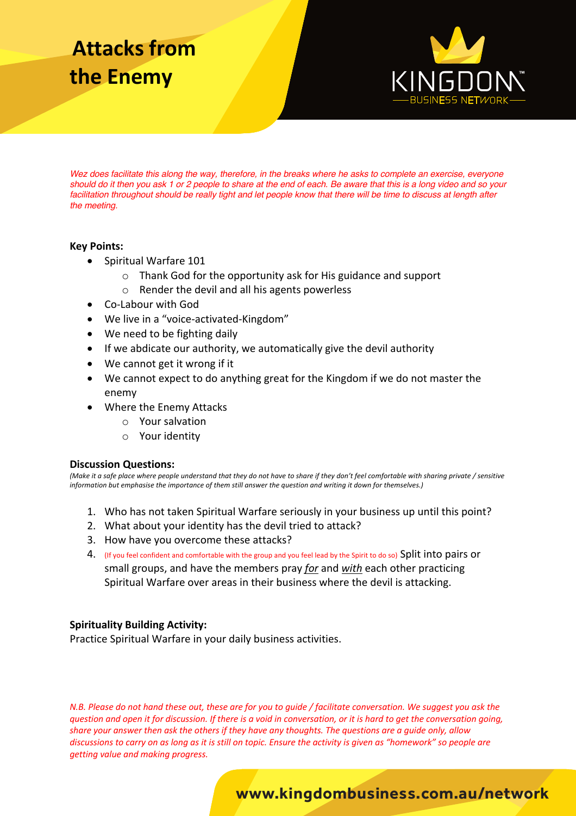# **Attacks from the Enemy**



*Wez does facilitate this along the way, therefore, in the breaks where he asks to complete an exercise, everyone should do it then you ask 1 or 2 people to share at the end of each. Be aware that this is a long video and so your*  facilitation throughout should be really tight and let people know that there will be time to discuss at length after *the meeting.*

#### **Key Points:**

- Spiritual Warfare 101
	- o Thank God for the opportunity ask for His guidance and support
	- o Render the devil and all his agents powerless
- Co-Labour with God
- We live in a "voice-activated-Kingdom"
- We need to be fighting daily
- If we abdicate our authority, we automatically give the devil authority
- We cannot get it wrong if it
- We cannot expect to do anything great for the Kingdom if we do not master the enemy
- Where the Enemy Attacks
	- o Your salvation
	- o Your identity

#### **Discussion Questions:**

*(Make it a safe place where people understand that they do not have to share if they don't feel comfortable with sharing private / sensitive information but emphasise the importance of them still answer the question and writing it down for themselves.)*

- 1. Who has not taken Spiritual Warfare seriously in your business up until this point?
- 2. What about your identity has the devil tried to attack?
- 3. How have you overcome these attacks?
- 4. (If you feel confident and comfortable with the group and you feel lead by the Spirit to do so) Split into pairs or small groups, and have the members pray *for* and *with* each other practicing Spiritual Warfare over areas in their business where the devil is attacking.

#### **Spirituality Building Activity:**

Practice Spiritual Warfare in your daily business activities.

*N.B. Please do not hand these out, these are for you to guide / facilitate conversation. We suggest you ask the question and open it for discussion. If there is a void in conversation, or it is hard to get the conversation going, share your answer then ask the others if they have any thoughts. The questions are a guide only, allow discussions to carry on as long as it is still on topic. Ensure the activity is given as "homework" so people are getting value and making progress.*

### **www.kingdombusiness.com.au/network**